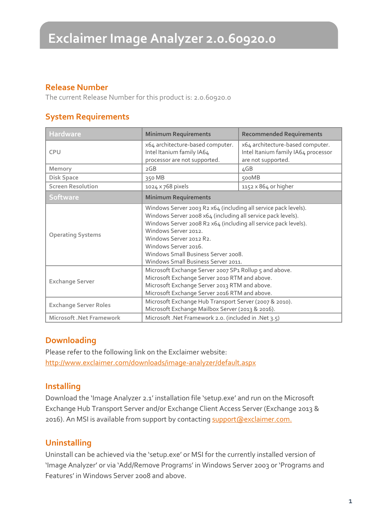### **Release Number**

The current Release Number for this product is: 2.0.60920.0

### **System Requirements**

| <b>Hardware</b>                 | <b>Minimum Requirements</b>                                                                                                                                                                                                                                                                                                                                 | <b>Recommended Requirements</b>                                                               |
|---------------------------------|-------------------------------------------------------------------------------------------------------------------------------------------------------------------------------------------------------------------------------------------------------------------------------------------------------------------------------------------------------------|-----------------------------------------------------------------------------------------------|
| <b>CPU</b>                      | x64 architecture-based computer.<br>Intel Itanium family IA64<br>processor are not supported.                                                                                                                                                                                                                                                               | x64 architecture-based computer.<br>Intel Itanium family IA64 processor<br>are not supported. |
| Memory                          | 2GB                                                                                                                                                                                                                                                                                                                                                         | 4GB                                                                                           |
| <b>Disk Space</b>               | 350 MB                                                                                                                                                                                                                                                                                                                                                      | 500MB                                                                                         |
| <b>Screen Resolution</b>        | 1024 x 768 pixels                                                                                                                                                                                                                                                                                                                                           | $1152 \times 864$ or higher                                                                   |
| <b>Software</b>                 | <b>Minimum Requirements</b>                                                                                                                                                                                                                                                                                                                                 |                                                                                               |
| <b>Operating Systems</b>        | Windows Server 2003 R2 x64 (including all service pack levels).<br>Windows Server 2008 x64 (including all service pack levels).<br>Windows Server 2008 R2 x64 (including all service pack levels).<br>Windows Server 2012.<br>Windows Server 2012 R2.<br>Windows Server 2016.<br>Windows Small Business Server 2008.<br>Windows Small Business Server 2011. |                                                                                               |
| <b>Exchange Server</b>          | Microsoft Exchange Server 2007 SP1 Rollup 5 and above.<br>Microsoft Exchange Server 2010 RTM and above.<br>Microsoft Exchange Server 2013 RTM and above.<br>Microsoft Exchange Server 2016 RTM and above.                                                                                                                                                   |                                                                                               |
| <b>Exchange Server Roles</b>    | Microsoft Exchange Hub Transport Server (2007 & 2010).<br>Microsoft Exchange Mailbox Server (2013 & 2016).                                                                                                                                                                                                                                                  |                                                                                               |
| <b>Microsoft .Net Framework</b> | Microsoft .Net Framework 2.0. (included in .Net 3.5)                                                                                                                                                                                                                                                                                                        |                                                                                               |

### **Downloading**

Please refer to the following link on the Exclaimer website: <http://www.exclaimer.com/downloads/image-analyzer/default.aspx>

### **Installing**

Download the 'Image Analyzer 2.1' installation file 'setup.exe' and run on the Microsoft Exchange Hub Transport Server and/or Exchange Client Access Server (Exchange 2013 & 2016). An MSI is available from support by contacting [support@exclaimer.com.](mailto:support@exclaimer.com)

## **Uninstalling**

Uninstall can be achieved via the 'setup.exe' or MSI for the currently installed version of 'Image Analyzer' or via 'Add/Remove Programs' in Windows Server 2003 or 'Programs and Features' in Windows Server 2008 and above.